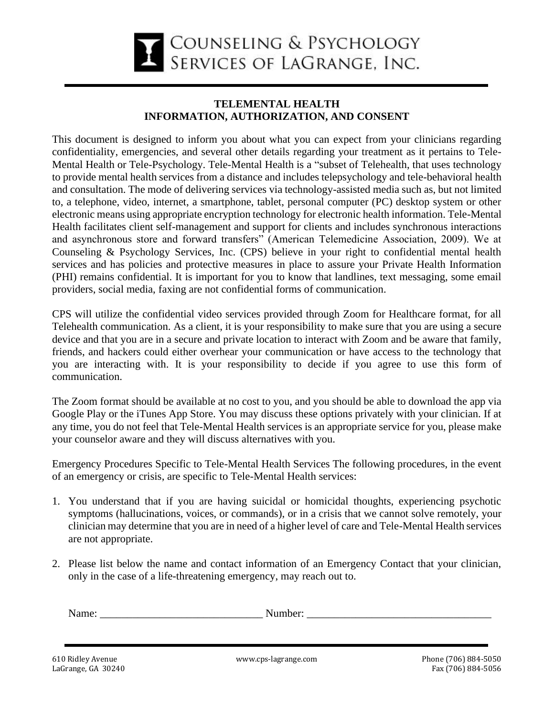

## **TELEMENTAL HEALTH INFORMATION, AUTHORIZATION, AND CONSENT**

This document is designed to inform you about what you can expect from your clinicians regarding confidentiality, emergencies, and several other details regarding your treatment as it pertains to Tele-Mental Health or Tele-Psychology. Tele-Mental Health is a "subset of Telehealth, that uses technology to provide mental health services from a distance and includes telepsychology and tele-behavioral health and consultation. The mode of delivering services via technology-assisted media such as, but not limited to, a telephone, video, internet, a smartphone, tablet, personal computer (PC) desktop system or other electronic means using appropriate encryption technology for electronic health information. Tele-Mental Health facilitates client self-management and support for clients and includes synchronous interactions and asynchronous store and forward transfers" (American Telemedicine Association, 2009). We at Counseling & Psychology Services, Inc. (CPS) believe in your right to confidential mental health services and has policies and protective measures in place to assure your Private Health Information (PHI) remains confidential. It is important for you to know that landlines, text messaging, some email providers, social media, faxing are not confidential forms of communication.

CPS will utilize the confidential video services provided through Zoom for Healthcare format, for all Telehealth communication. As a client, it is your responsibility to make sure that you are using a secure device and that you are in a secure and private location to interact with Zoom and be aware that family, friends, and hackers could either overhear your communication or have access to the technology that you are interacting with. It is your responsibility to decide if you agree to use this form of communication.

The Zoom format should be available at no cost to you, and you should be able to download the app via Google Play or the iTunes App Store. You may discuss these options privately with your clinician. If at any time, you do not feel that Tele-Mental Health services is an appropriate service for you, please make your counselor aware and they will discuss alternatives with you.

Emergency Procedures Specific to Tele-Mental Health Services The following procedures, in the event of an emergency or crisis, are specific to Tele-Mental Health services:

- 1. You understand that if you are having suicidal or homicidal thoughts, experiencing psychotic symptoms (hallucinations, voices, or commands), or in a crisis that we cannot solve remotely, your clinician may determine that you are in need of a higher level of care and Tele-Mental Health services are not appropriate.
- 2. Please list below the name and contact information of an Emergency Contact that your clinician, only in the case of a life-threatening emergency, may reach out to.

| $\mathbf{v}$ | .ne |
|--------------|-----|
|              |     |